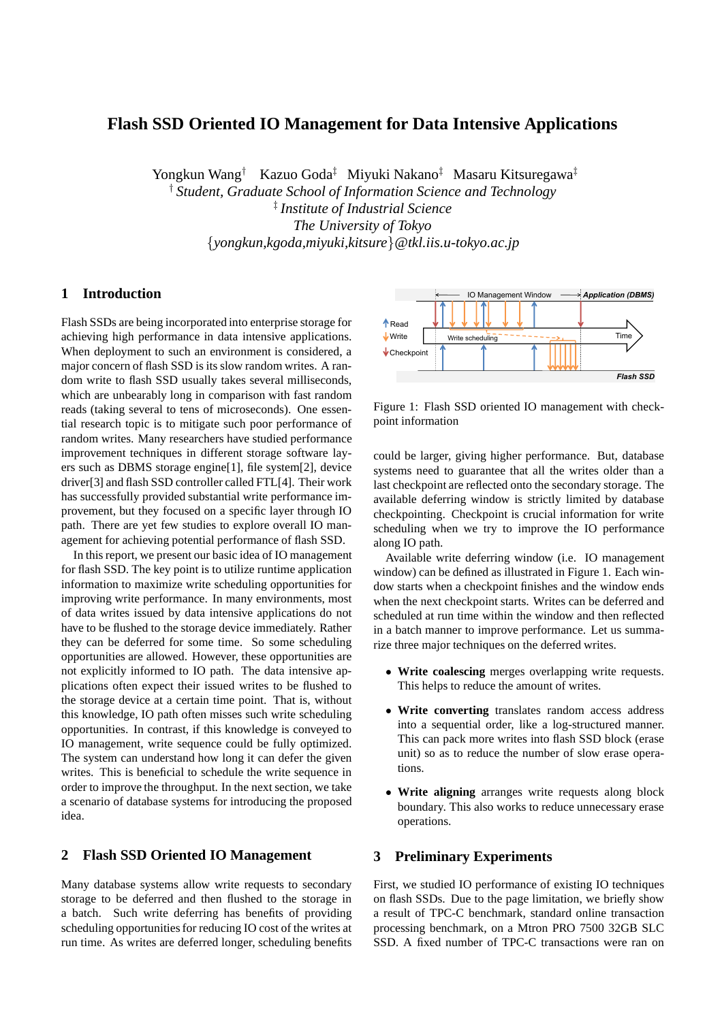# **Flash SSD Oriented IO Management for Data Intensive Applications**

Yongkun Wang† Kazuo Goda‡ Miyuki Nakano‡ Masaru Kitsuregawa‡

† *Student, Graduate School of Information Science and Technology* ‡ *Institute of Industrial Science The University of Tokyo* {*yongkun,kgoda,miyuki,kitsure*}*@tkl.iis.u-tokyo.ac.jp*

### **1 Introduction**

Flash SSDs are being incorporated into enterprise storage for achieving high performance in data intensive applications. When deployment to such an environment is considered, a major concern of flash SSD is its slow random writes. A random write to flash SSD usually takes several milliseconds, which are unbearably long in comparison with fast random reads (taking several to tens of microseconds). One essential research topic is to mitigate such poor performance of random writes. Many researchers have studied performance improvement techniques in different storage software layers such as DBMS storage engine[1], file system[2], device driver[3] and flash SSD controller called FTL[4]. Their work has successfully provided substantial write performance improvement, but they focused on a specific layer through IO path. There are yet few studies to explore overall IO management for achieving potential performance of flash SSD.

In this report, we present our basic idea of IO management for flash SSD. The key point is to utilize runtime application information to maximize write scheduling opportunities for improving write performance. In many environments, most of data writes issued by data intensive applications do not have to be flushed to the storage device immediately. Rather they can be deferred for some time. So some scheduling opportunities are allowed. However, these opportunities are not explicitly informed to IO path. The data intensive applications often expect their issued writes to be flushed to the storage device at a certain time point. That is, without this knowledge, IO path often misses such write scheduling opportunities. In contrast, if this knowledge is conveyed to IO management, write sequence could be fully optimized. The system can understand how long it can defer the given writes. This is beneficial to schedule the write sequence in order to improve the throughput. In the next section, we take a scenario of database systems for introducing the proposed idea.

# **2 Flash SSD Oriented IO Management**

Many database systems allow write requests to secondary storage to be deferred and then flushed to the storage in a batch. Such write deferring has benefits of providing scheduling opportunities for reducing IO cost of the writes at run time. As writes are deferred longer, scheduling benefits



Figure 1: Flash SSD oriented IO management with checkpoint information

could be larger, giving higher performance. But, database systems need to guarantee that all the writes older than a last checkpoint are reflected onto the secondary storage. The available deferring window is strictly limited by database checkpointing. Checkpoint is crucial information for write scheduling when we try to improve the IO performance along IO path.

Available write deferring window (i.e. IO management window) can be defined as illustrated in Figure 1. Each window starts when a checkpoint finishes and the window ends when the next checkpoint starts. Writes can be deferred and scheduled at run time within the window and then reflected in a batch manner to improve performance. Let us summarize three major techniques on the deferred writes.

- **Write coalescing** merges overlapping write requests. This helps to reduce the amount of writes.
- **Write converting** translates random access address into a sequential order, like a log-structured manner. This can pack more writes into flash SSD block (erase unit) so as to reduce the number of slow erase operations.
- **Write aligning** arranges write requests along block boundary. This also works to reduce unnecessary erase operations.

# **3 Preliminary Experiments**

First, we studied IO performance of existing IO techniques on flash SSDs. Due to the page limitation, we briefly show a result of TPC-C benchmark, standard online transaction processing benchmark, on a Mtron PRO 7500 32GB SLC SSD. A fixed number of TPC-C transactions were ran on